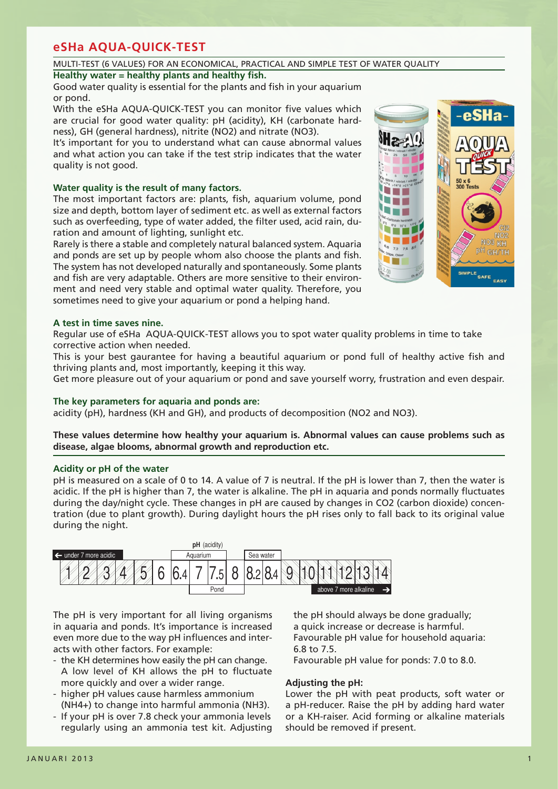## MULTI-TEST (6 VALUES) FOR AN ECONOMICAL, PRACTICAL AND SIMPLE TEST OF WATER QUALITY

## **Healthy water = healthy plants and healthy fish.**

Good water quality is essential for the plants and fish in your aquarium or pond.

With the eSHa AQUA-QUICK-TEST you can monitor five values which are crucial for good water quality: pH (acidity), KH (carbonate hardness), GH (general hardness), nitrite (NO2) and nitrate (NO3).

It's important for you to understand what can cause abnormal values and what action you can take if the test strip indicates that the water quality is not good.

### **Water quality is the result of many factors.**

The most important factors are: plants, fish, aquarium volume, pond size and depth, bottom layer of sediment etc. as well as external factors such as overfeeding, type of water added, the filter used, acid rain, duration and amount of lighting, sunlight etc.

Rarely is there a stable and completely natural balanced system. Aquaria and ponds are set up by people whom also choose the plants and fish. The system has not developed naturally and spontaneously. Some plants and fish are very adaptable. Others are more sensitive to their environment and need very stable and optimal water quality. Therefore, you sometimes need to give your aquarium or pond a helping hand.



## **A test in time saves nine.**

Regular use of eSHa AQUA-QUICK-TEST allows you to spot water quality problems in time to take corrective action when needed.

This is your best gaurantee for having a beautiful aquarium or pond full of healthy active fish and thriving plants and, most importantly, keeping it this way.

Get more pleasure out of your aquarium or pond and save yourself worry, frustration and even despair.

## **The key parameters for aquaria and ponds are:**

acidity (pH), hardness (KH and GH), and products of decomposition (NO2 and NO3).

**These values determine how healthy your aquarium is. Abnormal values can cause problems such as disease, algae blooms, abnormal growth and reproduction etc.**

#### **Acidity or pH of the water**

pH is measured on a scale of 0 to 14. A value of 7 is neutral. If the pH is lower than 7, then the water is acidic. If the pH is higher than 7, the water is alkaline. The pH in aquaria and ponds normally fluctuates during the day/night cycle. These changes in pH are caused by changes in CO2 (carbon dioxide) concentration (due to plant growth). During daylight hours the pH rises only to fall back to its original value during the night.



The pH is very important for all living organisms in aquaria and ponds. It's importance is increased even more due to the way pH influences and interacts with other factors. For example:

- the KH determines how easily the pH can change. A low level of KH allows the pH to fluctuate more quickly and over a wider range.
- higher pH values cause harmless ammonium (NH4+) to change into harmful ammonia (NH3).
- If your pH is over 7.8 check your ammonia levels regularly using an ammonia test kit. Adjusting

the pH should always be done gradually: a quick increase or decrease is harmful. Favourable pH value for household aquaria: 6.8 to 7.5.

Favourable pH value for ponds: 7.0 to 8.0.

## **Adjusting the pH:**

Lower the pH with peat products, soft water or a pH-reducer. Raise the pH by adding hard water or a KH-raiser. Acid forming or alkaline materials should be removed if present.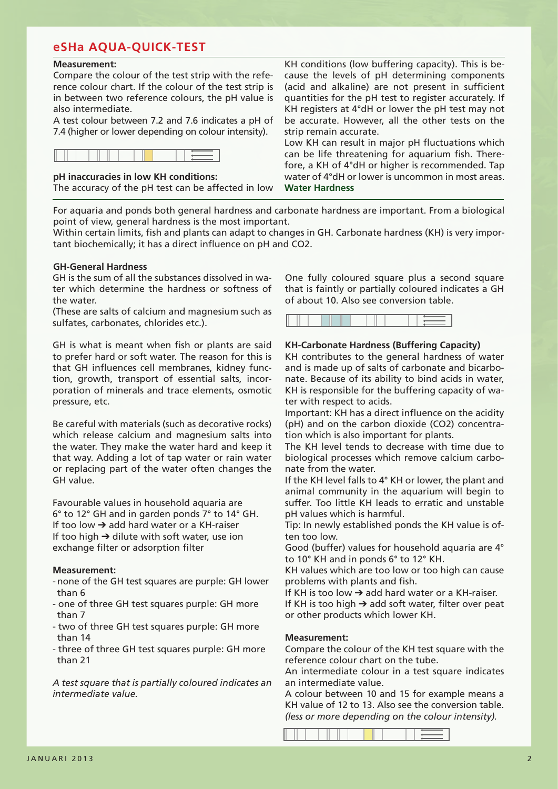### **Measurement:**

Compare the colour of the test strip with the reference colour chart. If the colour of the test strip is in between two reference colours, the pH value is also intermediate.

A test colour between 7.2 and 7.6 indicates a pH of 7.4 (higher or lower depending on colour intensity).

|--|

**pH inaccuracies in low KH conditions:**

The accuracy of the pH test can be affected in low

KH conditions (low buffering capacity). This is because the levels of pH determining components (acid and alkaline) are not present in sufficient quantities for the pH test to register accurately. If KH registers at 4°dH or lower the pH test may not be accurate. However, all the other tests on the strip remain accurate.

Low KH can result in major pH fluctuations which can be life threatening for aquarium fish. Therefore, a KH of 4°dH or higher is recommended. Tap water of 4°dH or lower is uncommon in most areas. **Water Hardness**

For aquaria and ponds both general hardness and carbonate hardness are important. From a biological point of view, general hardness is the most important.

Within certain limits, fish and plants can adapt to changes in GH. Carbonate hardness (KH) is very important biochemically; it has a direct influence on pH and CO2.

## **GH-General Hardness**

GH is the sum of all the substances dissolved in water which determine the hardness or softness of the water.

(These are salts of calcium and magnesium such as sulfates, carbonates, chlorides etc.).

GH is what is meant when fish or plants are said to prefer hard or soft water. The reason for this is that GH influences cell membranes, kidney function, growth, transport of essential salts, incorporation of minerals and trace elements, osmotic pressure, etc.

Be careful with materials (such as decorative rocks) which release calcium and magnesium salts into the water. They make the water hard and keep it that way. Adding a lot of tap water or rain water or replacing part of the water often changes the GH value.

Favourable values in household aquaria are 6° to 12° GH and in garden ponds 7° to 14° GH. If too low  $\rightarrow$  add hard water or a KH-raiser If too high  $\rightarrow$  dilute with soft water, use ion exchange filter or adsorption filter

#### **Measurement:**

- none of the GH test squares are purple: GH lower than 6
- one of three GH test squares purple: GH more than 7
- two of three GH test squares purple: GH more than 14
- three of three GH test squares purple: GH more than 21

*A test square that is partially coloured indicates an intermediate value.* 

One fully coloured square plus a second square that is faintly or partially coloured indicates a GH of about 10. Also see conversion table.



## **KH-Carbonate Hardness (Buffering Capacity)**

KH contributes to the general hardness of water and is made up of salts of carbonate and bicarbonate. Because of its ability to bind acids in water, KH is responsible for the buffering capacity of water with respect to acids.

Important: KH has a direct influence on the acidity (pH) and on the carbon dioxide (CO2) concentration which is also important for plants.

The KH level tends to decrease with time due to biological processes which remove calcium carbonate from the water.

If the KH level falls to 4° KH or lower, the plant and animal community in the aquarium will begin to suffer. Too little KH leads to erratic and unstable pH values which is harmful.

Tip: In newly established ponds the KH value is often too low.

Good (buffer) values for household aquaria are 4° to 10° KH and in ponds 6° to 12° KH.

KH values which are too low or too high can cause problems with plants and fish.

If KH is too low  $\rightarrow$  add hard water or a KH-raiser.

If KH is too high  $\rightarrow$  add soft water, filter over peat or other products which lower KH.

#### **Measurement:**

Compare the colour of the KH test square with the reference colour chart on the tube.

An intermediate colour in a test square indicates an intermediate value.

A colour between 10 and 15 for example means a KH value of 12 to 13. Also see the conversion table. *(less or more depending on the colour intensity).*

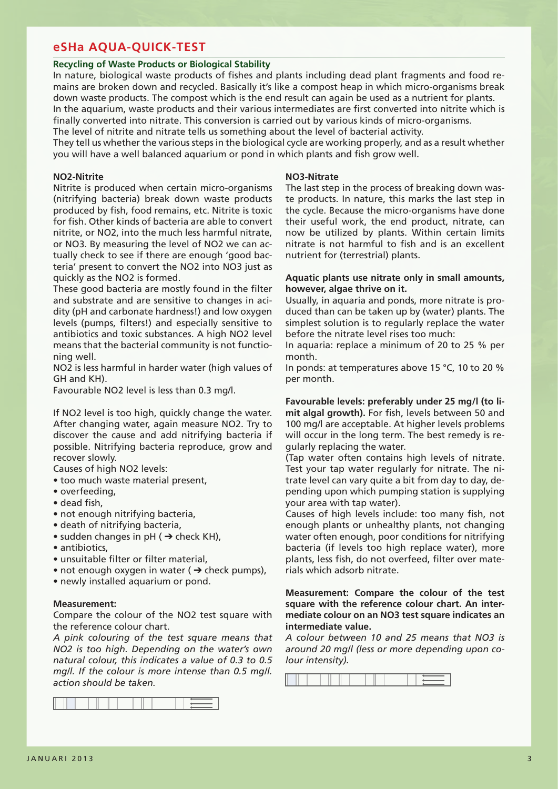#### **Recycling of Waste Products or Biological Stability**

In nature, biological waste products of fishes and plants including dead plant fragments and food remains are broken down and recycled. Basically it's like a compost heap in which micro-organisms break down waste products. The compost which is the end result can again be used as a nutrient for plants. In the aquarium, waste products and their various intermediates are first converted into nitrite which is finally converted into nitrate. This conversion is carried out by various kinds of micro-organisms. The level of nitrite and nitrate tells us something about the level of bacterial activity.

They tell us whether the various steps in the biological cycle are working properly, and as a result whether you will have a well balanced aquarium or pond in which plants and fish grow well.

#### **NO2-Nitrite**

Nitrite is produced when certain micro-organisms (nitrifying bacteria) break down waste products produced by fish, food remains, etc. Nitrite is toxic for fish. Other kinds of bacteria are able to convert nitrite, or NO2, into the much less harmful nitrate, or NO3. By measuring the level of NO2 we can actually check to see if there are enough 'good bacteria' present to convert the NO2 into NO3 just as quickly as the NO2 is formed.

These good bacteria are mostly found in the filter and substrate and are sensitive to changes in acidity (pH and carbonate hardness!) and low oxygen levels (pumps, filters!) and especially sensitive to antibiotics and toxic substances. A high NO2 level means that the bacterial community is not functioning well.

NO2 is less harmful in harder water (high values of GH and KH).

Favourable NO2 level is less than 0.3 mg/l.

If NO2 level is too high, quickly change the water. After changing water, again measure NO2. Try to discover the cause and add nitrifying bacteria if possible. Nitrifying bacteria reproduce, grow and recover slowly.

Causes of high NO2 levels:

- too much waste material present,
- overfeeding,
- dead fish,
- not enough nitrifying bacteria,
- death of nitrifying bacteria,
- sudden changes in  $pH$  ( $\rightarrow$  check KH),
- antibiotics,
- unsuitable filter or filter material,
- not enough oxygen in water  $($   $\rightarrow$  check pumps),
- newly installed aquarium or pond.

### **Measurement:**

Compare the colour of the NO2 test square with the reference colour chart.

*A pink colouring of the test square means that NO2 is too high. Depending on the water's own natural colour, this indicates a value of 0.3 to 0.5 mg/l. If the colour is more intense than 0.5 mg/l. action should be taken.*



#### **NO3-Nitrate**

The last step in the process of breaking down waste products. In nature, this marks the last step in the cycle. Because the micro-organisms have done their useful work, the end product, nitrate, can now be utilized by plants. Within certain limits nitrate is not harmful to fish and is an excellent nutrient for (terrestrial) plants.

#### **Aquatic plants use nitrate only in small amounts, however, algae thrive on it.**

Usually, in aquaria and ponds, more nitrate is produced than can be taken up by (water) plants. The simplest solution is to regularly replace the water before the nitrate level rises too much:

In aquaria: replace a minimum of 20 to 25 % per month.

In ponds: at temperatures above 15 °C, 10 to 20 % per month.

**Favourable levels: preferably under 25 mg/l (to limit algal growth).** For fish, levels between 50 and 100 mg/l are acceptable. At higher levels problems will occur in the long term. The best remedy is regularly replacing the water.

(Tap water often contains high levels of nitrate. Test your tap water regularly for nitrate. The nitrate level can vary quite a bit from day to day, depending upon which pumping station is supplying your area with tap water).

Causes of high levels include: too many fish, not enough plants or unhealthy plants, not changing water often enough, poor conditions for nitrifying bacteria (if levels too high replace water), more plants, less fish, do not overfeed, filter over materials which adsorb nitrate.

### **Measurement: Compare the colour of the test square with the reference colour chart. An intermediate colour on an NO3 test square indicates an intermediate value.**

*A colour between 10 and 25 means that NO3 is around 20 mg/l (less or more depending upon colour intensity).*

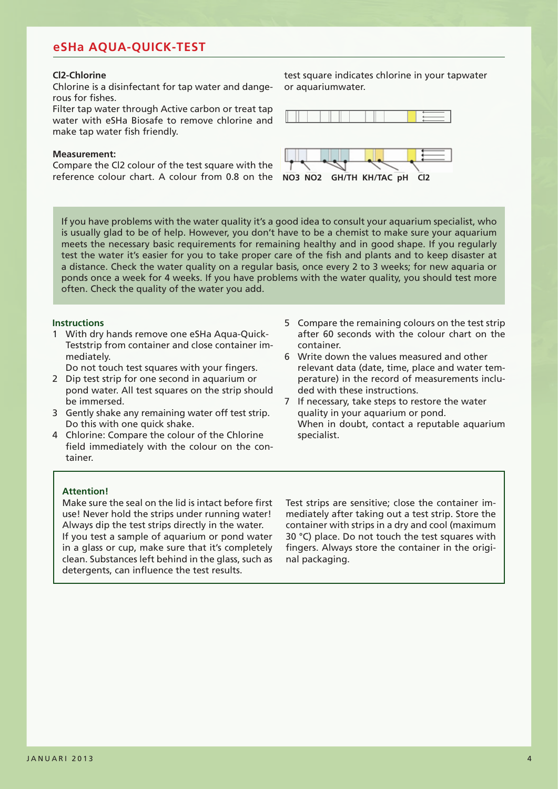#### **Cl2-Chlorine**

Chlorine is a disinfectant for tap water and dangerous for fishes.

Filter tap water through Active carbon or treat tap water with eSHa Biosafe to remove chlorine and make tap water fish friendly.

#### **Measurement:**

Compare the Cl2 colour of the test square with the reference colour chart. A colour from 0.8 on the **NO3 NO2 GH/TH KH/TAC pH Cl2**

test square indicates chlorine in your tapwater or aquariumwater.





If you have problems with the water quality it's a good idea to consult your aquarium specialist, who is usually glad to be of help. However, you don't have to be a chemist to make sure your aquarium meets the necessary basic requirements for remaining healthy and in good shape. If you regularly test the water it's easier for you to take proper care of the fish and plants and to keep disaster at a distance. Check the water quality on a regular basis, once every 2 to 3 weeks; for new aquaria or ponds once a week for 4 weeks. If you have problems with the water quality, you should test more often. Check the quality of the water you add.

#### **Instructions**

1 With dry hands remove one eSHa Aqua-Quick-Teststrip from container and close container immediately.

Do not touch test squares with your fingers.

- 2 Dip test strip for one second in aquarium or pond water. All test squares on the strip should be immersed.
- 3 Gently shake any remaining water off test strip. Do this with one quick shake.
- 4 Chlorine: Compare the colour of the Chlorine field immediately with the colour on the container.
- 5 Compare the remaining colours on the test strip after 60 seconds with the colour chart on the container.
- 6 Write down the values measured and other relevant data (date, time, place and water temperature) in the record of measurements included with these instructions.
- 7 If necessary, take steps to restore the water quality in your aquarium or pond. When in doubt, contact a reputable aquarium specialist.

#### **Attention!**

Make sure the seal on the lid is intact before first use! Never hold the strips under running water! Always dip the test strips directly in the water. If you test a sample of aquarium or pond water in a glass or cup, make sure that it's completely clean. Substances left behind in the glass, such as detergents, can influence the test results.

Test strips are sensitive; close the container immediately after taking out a test strip. Store the container with strips in a dry and cool (maximum 30 °C) place. Do not touch the test squares with fingers. Always store the container in the original packaging.